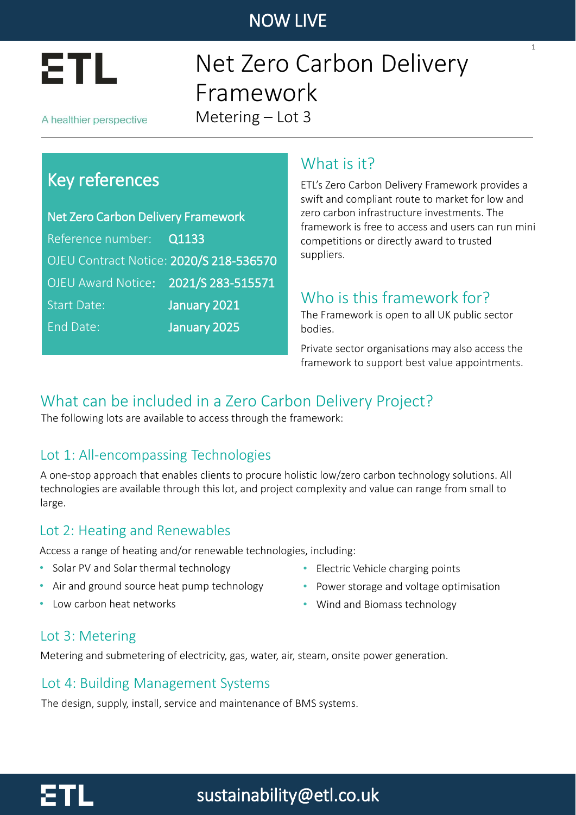

## Net Zero Carbon Delivery Framework Metering – Lot 3

A healthier perspective

## Key references

Net Zero Carbon Delivery Framework Reference number: Q1133 OJEU Contract Notice: 2020/S 218-536570 OJEU Award Notice: 2021/S 283-515571 Start Date: January 2021 End Date: January 2025

### What is it?

ETL's Zero Carbon Delivery Framework provides a swift and compliant route to market for low and zero carbon infrastructure investments. The framework is free to access and users can run mini competitions or directly award to trusted suppliers.

1

### Who is this framework for?

The Framework is open to all UK public sector bodies.

Private sector organisations may also access the framework to support best value appointments.

### What can be included in a Zero Carbon Delivery Project?

The following lots are available to access through the framework:

### Lot 1: All-encompassing Technologies

A one-stop approach that enables clients to procure holistic low/zero carbon technology solutions. All technologies are available through this lot, and project complexity and value can range from small to large.

#### Lot 2: Heating and Renewables

Access a range of heating and/or renewable technologies, including:

- Solar PV and Solar thermal technology
- Air and ground source heat pump technology
- Low carbon heat networks
- Electric Vehicle charging points
- Power storage and voltage optimisation
- Wind and Biomass technology

#### Lot 3: Metering

Metering and submetering of electricity, gas, water, air, steam, onsite power generation.

#### Lot 4: Building Management Systems

The design, supply, install, service and maintenance of BMS systems.

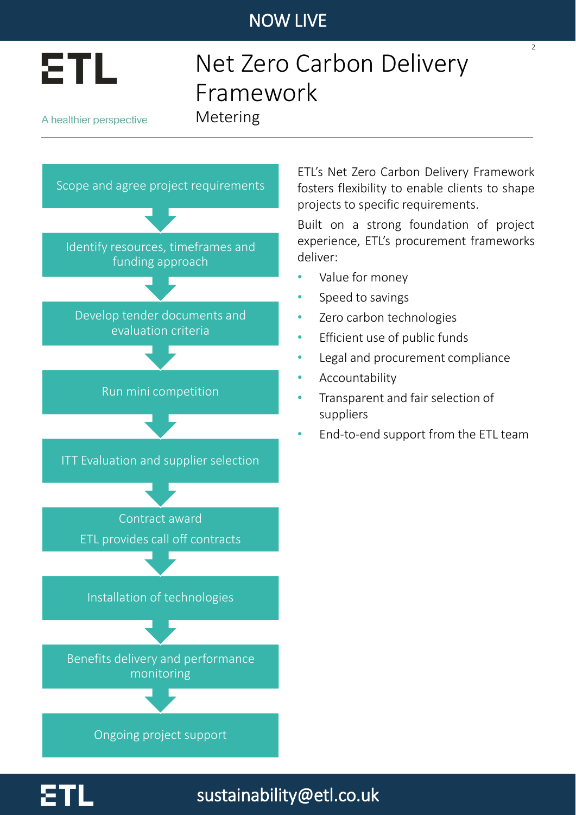

# Net Zero Carbon Delivery Framework

A healthier perspective

Metering



ETL's Net Zero Carbon Delivery Framework fosters flexibility to enable clients to shape projects to specific requirements.

 $\overline{2}$ 

Built on a strong foundation of project experience, ETL's procurement frameworks deliver:

- Value for money
- Speed to savings
- Zero carbon technologies
- Efficient use of public funds
- Legal and procurement compliance
- **Accountability**

sustainability@etl.co.uk

- Transparent and fair selection of suppliers
- End-to-end support from the ETL team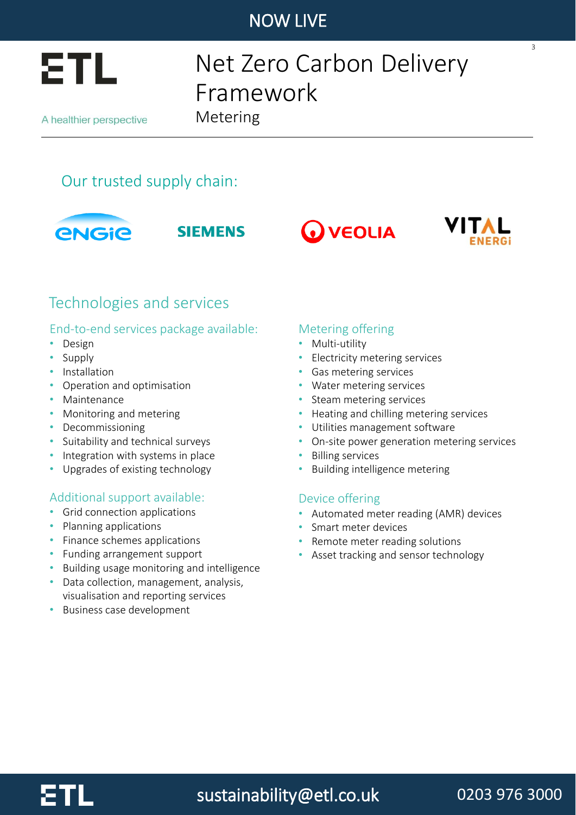

# Net Zero Carbon Delivery Framework

A healthier perspective

Metering











3

## Technologies and services

#### End-to-end services package available:

- Design
- Supply
- Installation
- Operation and optimisation
- Maintenance
- Monitoring and metering
- Decommissioning
- Suitability and technical surveys
- Integration with systems in place
- Upgrades of existing technology

#### Additional support available:

- Grid connection applications
- Planning applications
- Finance schemes applications
- Funding arrangement support
- Building usage monitoring and intelligence
- Data collection, management, analysis, visualisation and reporting services
- Business case development

#### Metering offering

- Multi-utility
- Electricity metering services
- Gas metering services
- Water metering services
- Steam metering services
- Heating and chilling metering services
- Utilities management software
- On-site power generation metering services
- Billing services
- Building intelligence metering

#### Device offering

- Automated meter reading (AMR) devices
- Smart meter devices
- Remote meter reading solutions
- Asset tracking and sensor technology



sustainability@etl.co.uk